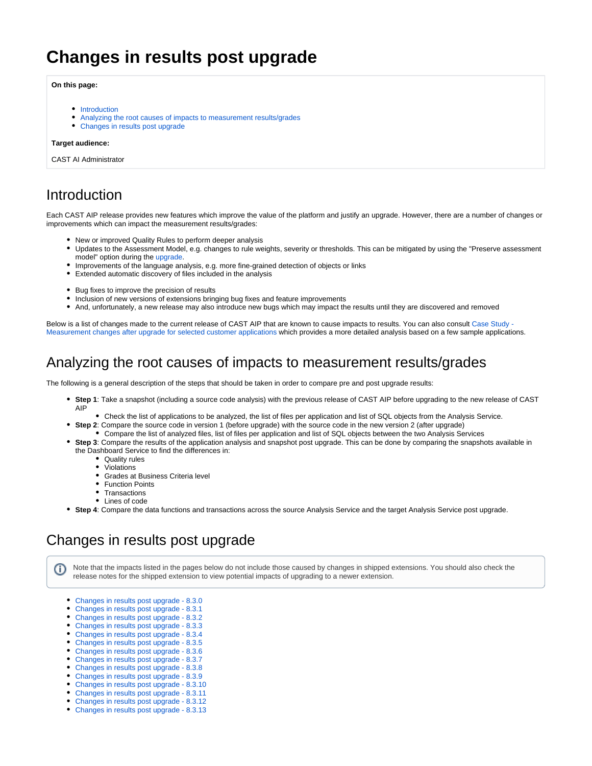# **Changes in results post upgrade**

**On this page:**

- [Introduction](#page-0-0)
- [Analyzing the root causes of impacts to measurement results/grades](#page-0-1)
- [Changes in results post upgrade](#page-0-2)

#### **Target audience:**

CAST AI Administrator

#### <span id="page-0-0"></span>Introduction

Each CAST AIP release provides new features which improve the value of the platform and justify an upgrade. However, there are a number of changes or improvements which can impact the measurement results/grades:

- New or improved Quality Rules to perform deeper analysis
- Updates to the Assessment Model, e.g. changes to rule weights, severity or thresholds. This can be mitigated by using the "Preserve assessment model" option during the [upgrade.](https://doc.castsoftware.com/display/DOC83/Upgrading+CAST+AIP)
- Improvements of the language analysis, e.g. more fine-grained detection of objects or links
- Extended automatic discovery of files included in the analysis
- Bug fixes to improve the precision of results
- Inclusion of new versions of extensions bringing bug fixes and feature improvements
- And, unfortunately, a new release may also introduce new bugs which may impact the results until they are discovered and removed

Below is a list of changes made to the current release of CAST AIP that are known to cause impacts to results. You can also consult Case Study -[Measurement changes after upgrade for selected customer applications](https://doc.castsoftware.com/display/DOC83/Case+Study+-+Measurement+changes+after+upgrade+for+selected+customer+applications) which provides a more detailed analysis based on a few sample applications.

### <span id="page-0-1"></span>Analyzing the root causes of impacts to measurement results/grades

The following is a general description of the steps that should be taken in order to compare pre and post upgrade results:

- **Step 1**: Take a snapshot (including a source code analysis) with the previous release of CAST AIP before upgrading to the new release of CAST AIP
	- Check the list of applications to be analyzed, the list of files per application and list of SQL objects from the Analysis Service.
- **Step 2**: Compare the source code in version 1 (before upgrade) with the source code in the new version 2 (after upgrade)
- Compare the list of analyzed files, list of files per application and list of SQL objects between the two Analysis Services **Step 3**: Compare the results of the application analysis and snapshot post upgrade. This can be done by comparing the snapshots available in
- the Dashboard Service to find the differences in:
	- Quality rules Violations
	- Grades at Business Criteria level
	- Function Points
	- Transactions
	- Lines of code

⋒

**Step 4**: Compare the data functions and transactions across the source Analysis Service and the target Analysis Service post upgrade.

## <span id="page-0-2"></span>Changes in results post upgrade

Note that the impacts listed in the pages below do not include those caused by changes in shipped extensions. You should also check the release notes for the shipped extension to view potential impacts of upgrading to a newer extension.

- [Changes in results post upgrade 8.3.0](https://doc.castsoftware.com/display/DOC83/Changes+in+results+post+upgrade+-+8.3.0)
- [Changes in results post upgrade 8.3.1](https://doc.castsoftware.com/display/DOC83/Changes+in+results+post+upgrade+-+8.3.1)
- [Changes in results post upgrade 8.3.2](https://doc.castsoftware.com/display/DOC83/Changes+in+results+post+upgrade+-+8.3.2)
- [Changes in results post upgrade 8.3.3](https://doc.castsoftware.com/display/DOC83/Changes+in+results+post+upgrade+-+8.3.3)
- [Changes in results post upgrade 8.3.4](https://doc.castsoftware.com/display/DOC83/Changes+in+results+post+upgrade+-+8.3.4)
- [Changes in results post upgrade 8.3.5](https://doc.castsoftware.com/display/DOC83/Changes+in+results+post+upgrade+-+8.3.5)
- [Changes in results post upgrade 8.3.6](https://doc.castsoftware.com/display/DOC83/Changes+in+results+post+upgrade+-+8.3.6)
- [Changes in results post upgrade 8.3.7](https://doc.castsoftware.com/display/DOC83/Changes+in+results+post+upgrade+-+8.3.7)
- [Changes in results post upgrade 8.3.8](https://doc.castsoftware.com/display/DOC83/Changes+in+results+post+upgrade+-+8.3.8)
- [Changes in results post upgrade 8.3.9](https://doc.castsoftware.com/display/DOC83/Changes+in+results+post+upgrade+-+8.3.9)
- [Changes in results post upgrade 8.3.10](https://doc.castsoftware.com/display/DOC83/Changes+in+results+post+upgrade+-+8.3.10)
- [Changes in results post upgrade 8.3.11](https://doc.castsoftware.com/display/DOC83/Changes+in+results+post+upgrade+-+8.3.11)
- [Changes in results post upgrade 8.3.12](https://doc.castsoftware.com/display/DOC83/Changes+in+results+post+upgrade+-+8.3.12)
- $\bullet$ [Changes in results post upgrade - 8.3.13](https://doc.castsoftware.com/display/DOC83/Changes+in+results+post+upgrade+-+8.3.13)